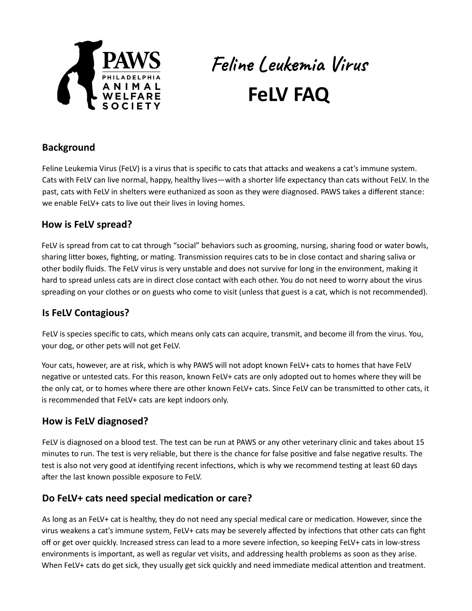

# Feline Leukemia Virus **FeLV FAQ**

## **Background**

Feline Leukemia Virus (FeLV) is a virus that is specific to cats that attacks and weakens a cat's immune system. Cats with FeLV can live normal, happy, healthy lives—with a shorter life expectancy than cats without FeLV. In the past, cats with FeLV in shelters were euthanized as soon as they were diagnosed. PAWS takes a different stance: we enable FeLV+ cats to live out their lives in loving homes.

## **How is FeLV spread?**

FeLV is spread from cat to cat through "social" behaviors such as grooming, nursing, sharing food or water bowls, sharing litter boxes, fighting, or mating. Transmission requires cats to be in close contact and sharing saliva or other bodily fluids. The FeLV virus is very unstable and does not survive for long in the environment, making it hard to spread unless cats are in direct close contact with each other. You do not need to worry about the virus spreading on your clothes or on guests who come to visit (unless that guest is a cat, which is not recommended).

## **Is FeLV Contagious?**

FeLV is species specific to cats, which means only cats can acquire, transmit, and become ill from the virus. You, your dog, or other pets will not get FeLV.

Your cats, however, are at risk, which is why PAWS will not adopt known FeLV+ cats to homes that have FeLV negative or untested cats. For this reason, known FeLV+ cats are only adopted out to homes where they will be the only cat, or to homes where there are other known FeLV+ cats. Since FeLV can be transmitted to other cats, it is recommended that FeLV+ cats are kept indoors only.

# **How is FeLV diagnosed?**

FeLV is diagnosed on a blood test. The test can be run at PAWS or any other veterinary clinic and takes about 15 minutes to run. The test is very reliable, but there is the chance for false positive and false negative results. The test is also not very good at identifying recent infections, which is why we recommend testing at least 60 days after the last known possible exposure to FeLV.

## **Do FeLV+ cats need special medicaon or care?**

As long as an FeLV+ cat is healthy, they do not need any special medical care or medication. However, since the virus weakens a cat's immune system, FeLV+ cats may be severely affected by infections that other cats can fight off or get over quickly. Increased stress can lead to a more severe infection, so keeping FeLV+ cats in low-stress environments is important, as well as regular vet visits, and addressing health problems as soon as they arise. When FeLV+ cats do get sick, they usually get sick quickly and need immediate medical attention and treatment.